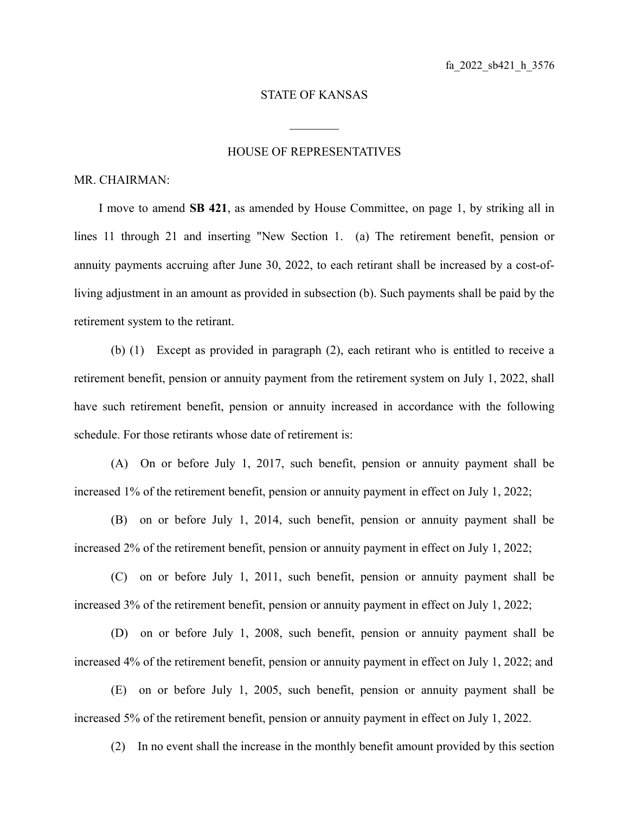## STATE OF KANSAS

 $\mathcal{L}_\text{max}$ 

## HOUSE OF REPRESENTATIVES

## MR. CHAIRMAN:

I move to amend **SB 421**, as amended by House Committee, on page 1, by striking all in lines 11 through 21 and inserting "New Section 1. (a) The retirement benefit, pension or annuity payments accruing after June 30, 2022, to each retirant shall be increased by a cost-ofliving adjustment in an amount as provided in subsection (b). Such payments shall be paid by the retirement system to the retirant.

(b) (1) Except as provided in paragraph (2), each retirant who is entitled to receive a retirement benefit, pension or annuity payment from the retirement system on July 1, 2022, shall have such retirement benefit, pension or annuity increased in accordance with the following schedule. For those retirants whose date of retirement is:

(A) On or before July 1, 2017, such benefit, pension or annuity payment shall be increased 1% of the retirement benefit, pension or annuity payment in effect on July 1, 2022;

(B) on or before July 1, 2014, such benefit, pension or annuity payment shall be increased 2% of the retirement benefit, pension or annuity payment in effect on July 1, 2022;

(C) on or before July 1, 2011, such benefit, pension or annuity payment shall be increased 3% of the retirement benefit, pension or annuity payment in effect on July 1, 2022;

(D) on or before July 1, 2008, such benefit, pension or annuity payment shall be increased 4% of the retirement benefit, pension or annuity payment in effect on July 1, 2022; and

(E) on or before July 1, 2005, such benefit, pension or annuity payment shall be increased 5% of the retirement benefit, pension or annuity payment in effect on July 1, 2022.

(2) In no event shall the increase in the monthly benefit amount provided by this section